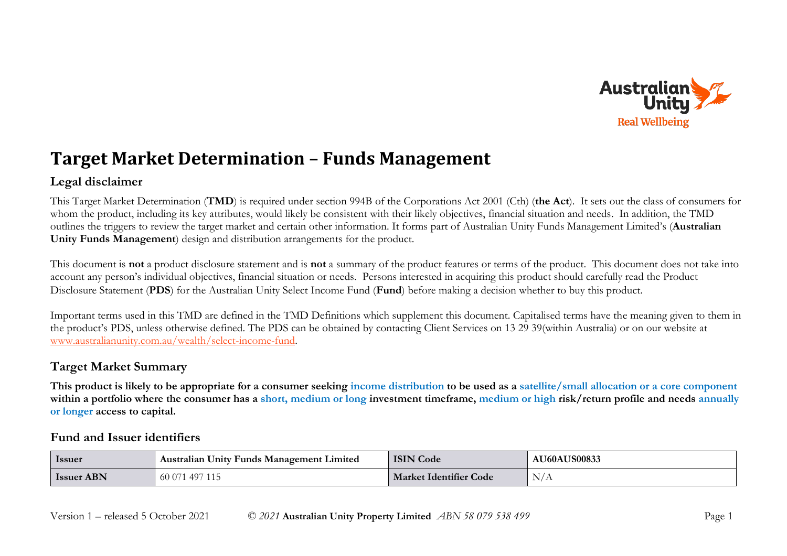

## **Target Market Determination – Funds Management**

### **Legal disclaimer**

This Target Market Determination (**TMD**) is required under section 994B of the Corporations Act 2001 (Cth) (**the Act**). It sets out the class of consumers for whom the product, including its key attributes, would likely be consistent with their likely objectives, financial situation and needs. In addition, the TMD outlines the triggers to review the target market and certain other information. It forms part of Australian Unity Funds Management Limited's (**Australian Unity Funds Management**) design and distribution arrangements for the product.

This document is **not** a product disclosure statement and is **not** a summary of the product features or terms of the product. This document does not take into account any person's individual objectives, financial situation or needs. Persons interested in acquiring this product should carefully read the Product Disclosure Statement (**PDS**) for the Australian Unity Select Income Fund (**Fund**) before making a decision whether to buy this product.

Important terms used in this TMD are defined in the TMD Definitions which supplement this document. Capitalised terms have the meaning given to them in the product's PDS, unless otherwise defined. The PDS can be obtained by contacting Client Services on 13 29 39(within Australia) or on our website at [www.australianunity.com.au/wealth/select-income-fund.](http://www.australianunity.com.au/wealth/select-income-fund)

## **Target Market Summary**

**This product is likely to be appropriate for a consumer seeking income distribution to be used as a satellite/small allocation or a core component within a portfolio where the consumer has a short, medium or long investment timeframe, medium or high risk/return profile and needs annually or longer access to capital.**

#### **Fund and Issuer identifiers**

| <b>Issuer</b>     | . Australian Unity Funds Management Limited | <b>ISIN Code</b>       | <b>AU60AUS00833</b> |
|-------------------|---------------------------------------------|------------------------|---------------------|
| <b>Issuer ABN</b> | 497 11:<br>00U                              | Market Identifier Code | N/A                 |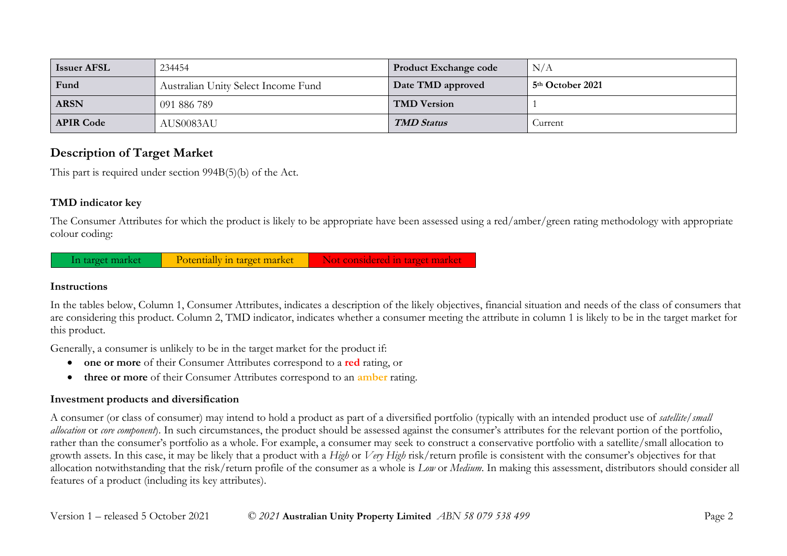| <b>Issuer AFSL</b> | 234454                              | <b>Product Exchange code</b> | N/A                          |
|--------------------|-------------------------------------|------------------------------|------------------------------|
| Fund               | Australian Unity Select Income Fund | Date TMD approved            | 5 <sup>th</sup> October 2021 |
| <b>ARSN</b>        | 091 886 789                         | <b>TMD Version</b>           |                              |
| <b>APIR Code</b>   | AUS0083AU                           | <b>TMD Status</b>            | Current                      |

### **Description of Target Market**

This part is required under section 994B(5)(b) of the Act.

#### **TMD indicator key**

The Consumer Attributes for which the product is likely to be appropriate have been assessed using a red/amber/green rating methodology with appropriate colour coding:

In target market Potentially in target market Not considered in target market

#### **Instructions**

In the tables below, Column 1, Consumer Attributes, indicates a description of the likely objectives, financial situation and needs of the class of consumers that are considering this product. Column 2, TMD indicator, indicates whether a consumer meeting the attribute in column 1 is likely to be in the target market for this product.

Generally, a consumer is unlikely to be in the target market for the product if:

- **one or more** of their Consumer Attributes correspond to a **red** rating, or
- **three or more** of their Consumer Attributes correspond to an **amber** rating.

#### **Investment products and diversification**

A consumer (or class of consumer) may intend to hold a product as part of a diversified portfolio (typically with an intended product use of *satellite/small allocation* or *core component*). In such circumstances, the product should be assessed against the consumer's attributes for the relevant portion of the portfolio, rather than the consumer's portfolio as a whole. For example, a consumer may seek to construct a conservative portfolio with a satellite/small allocation to growth assets. In this case, it may be likely that a product with a *High* or *Very High* risk/return profile is consistent with the consumer's objectives for that allocation notwithstanding that the risk/return profile of the consumer as a whole is *Low* or *Medium*. In making this assessment, distributors should consider all features of a product (including its key attributes).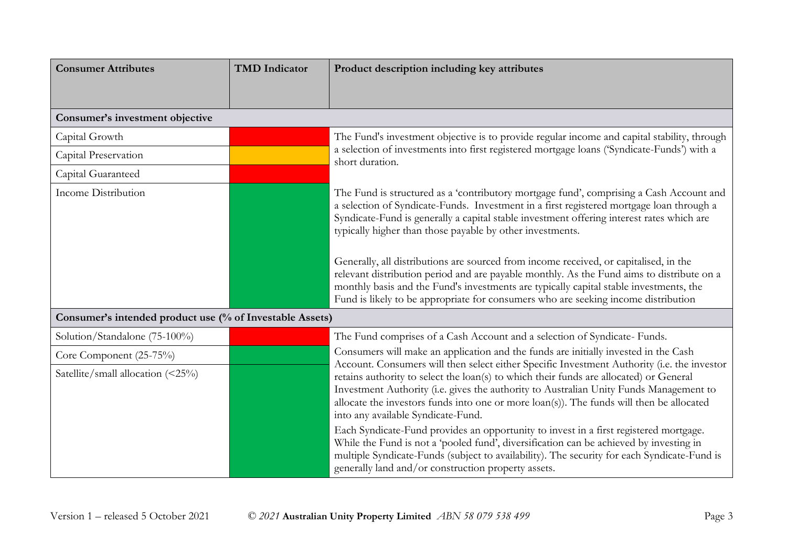| <b>Consumer Attributes</b>                               | <b>TMD</b> Indicator | Product description including key attributes                                                                                                                                                                                                                                                                                                                                                                      |
|----------------------------------------------------------|----------------------|-------------------------------------------------------------------------------------------------------------------------------------------------------------------------------------------------------------------------------------------------------------------------------------------------------------------------------------------------------------------------------------------------------------------|
|                                                          |                      |                                                                                                                                                                                                                                                                                                                                                                                                                   |
| Consumer's investment objective                          |                      |                                                                                                                                                                                                                                                                                                                                                                                                                   |
| Capital Growth                                           |                      | The Fund's investment objective is to provide regular income and capital stability, through                                                                                                                                                                                                                                                                                                                       |
| Capital Preservation                                     |                      | a selection of investments into first registered mortgage loans ('Syndicate-Funds') with a<br>short duration.                                                                                                                                                                                                                                                                                                     |
| Capital Guaranteed                                       |                      |                                                                                                                                                                                                                                                                                                                                                                                                                   |
| <b>Income Distribution</b>                               |                      | The Fund is structured as a 'contributory mortgage fund', comprising a Cash Account and<br>a selection of Syndicate-Funds. Investment in a first registered mortgage loan through a<br>Syndicate-Fund is generally a capital stable investment offering interest rates which are<br>typically higher than those payable by other investments.                                                                     |
|                                                          |                      | Generally, all distributions are sourced from income received, or capitalised, in the<br>relevant distribution period and are payable monthly. As the Fund aims to distribute on a<br>monthly basis and the Fund's investments are typically capital stable investments, the<br>Fund is likely to be appropriate for consumers who are seeking income distribution                                                |
| Consumer's intended product use (% of Investable Assets) |                      |                                                                                                                                                                                                                                                                                                                                                                                                                   |
| Solution/Standalone (75-100%)                            |                      | The Fund comprises of a Cash Account and a selection of Syndicate- Funds.                                                                                                                                                                                                                                                                                                                                         |
| Core Component (25-75%)                                  |                      | Consumers will make an application and the funds are initially invested in the Cash                                                                                                                                                                                                                                                                                                                               |
| Satellite/small allocation (<25%)                        |                      | Account. Consumers will then select either Specific Investment Authority (i.e. the investor<br>retains authority to select the loan(s) to which their funds are allocated) or General<br>Investment Authority (i.e. gives the authority to Australian Unity Funds Management to<br>allocate the investors funds into one or more loan(s)). The funds will then be allocated<br>into any available Syndicate-Fund. |
|                                                          |                      | Each Syndicate-Fund provides an opportunity to invest in a first registered mortgage.<br>While the Fund is not a 'pooled fund', diversification can be achieved by investing in<br>multiple Syndicate-Funds (subject to availability). The security for each Syndicate-Fund is<br>generally land and/or construction property assets.                                                                             |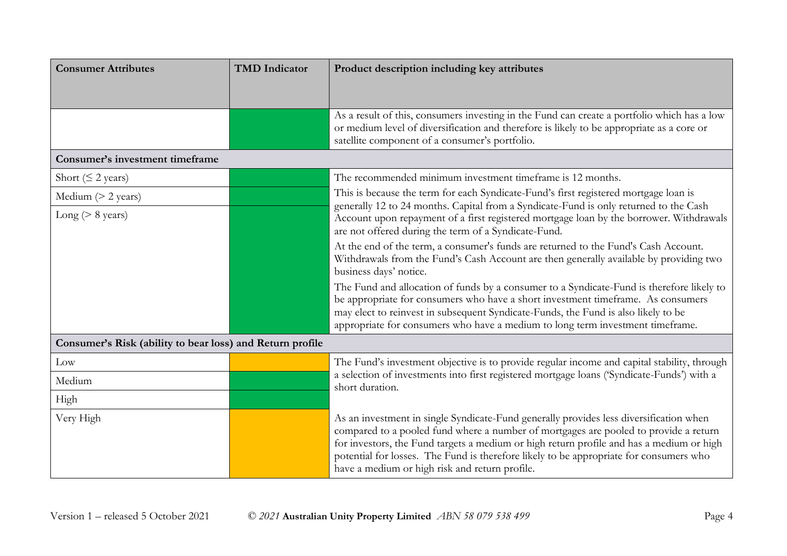| <b>Consumer Attributes</b>                                | <b>TMD</b> Indicator | Product description including key attributes                                                                                                                                                                                                                                                                                                                                                                           |
|-----------------------------------------------------------|----------------------|------------------------------------------------------------------------------------------------------------------------------------------------------------------------------------------------------------------------------------------------------------------------------------------------------------------------------------------------------------------------------------------------------------------------|
|                                                           |                      |                                                                                                                                                                                                                                                                                                                                                                                                                        |
|                                                           |                      | As a result of this, consumers investing in the Fund can create a portfolio which has a low<br>or medium level of diversification and therefore is likely to be appropriate as a core or<br>satellite component of a consumer's portfolio.                                                                                                                                                                             |
| <b>Consumer's investment timeframe</b>                    |                      |                                                                                                                                                                                                                                                                                                                                                                                                                        |
| Short ( $\leq$ 2 years)                                   |                      | The recommended minimum investment timeframe is 12 months.                                                                                                                                                                                                                                                                                                                                                             |
| Medium $(> 2$ years)                                      |                      | This is because the term for each Syndicate-Fund's first registered mortgage loan is                                                                                                                                                                                                                                                                                                                                   |
| Long ( $> 8$ years)                                       |                      | generally 12 to 24 months. Capital from a Syndicate-Fund is only returned to the Cash<br>Account upon repayment of a first registered mortgage loan by the borrower. Withdrawals<br>are not offered during the term of a Syndicate-Fund.                                                                                                                                                                               |
|                                                           |                      | At the end of the term, a consumer's funds are returned to the Fund's Cash Account.<br>Withdrawals from the Fund's Cash Account are then generally available by providing two<br>business days' notice.                                                                                                                                                                                                                |
|                                                           |                      | The Fund and allocation of funds by a consumer to a Syndicate-Fund is therefore likely to<br>be appropriate for consumers who have a short investment timeframe. As consumers<br>may elect to reinvest in subsequent Syndicate-Funds, the Fund is also likely to be<br>appropriate for consumers who have a medium to long term investment timeframe.                                                                  |
| Consumer's Risk (ability to bear loss) and Return profile |                      |                                                                                                                                                                                                                                                                                                                                                                                                                        |
| Low                                                       |                      | The Fund's investment objective is to provide regular income and capital stability, through                                                                                                                                                                                                                                                                                                                            |
| Medium                                                    |                      | a selection of investments into first registered mortgage loans ('Syndicate-Funds') with a<br>short duration.                                                                                                                                                                                                                                                                                                          |
| High                                                      |                      |                                                                                                                                                                                                                                                                                                                                                                                                                        |
| Very High                                                 |                      | As an investment in single Syndicate-Fund generally provides less diversification when<br>compared to a pooled fund where a number of mortgages are pooled to provide a return<br>for investors, the Fund targets a medium or high return profile and has a medium or high<br>potential for losses. The Fund is therefore likely to be appropriate for consumers who<br>have a medium or high risk and return profile. |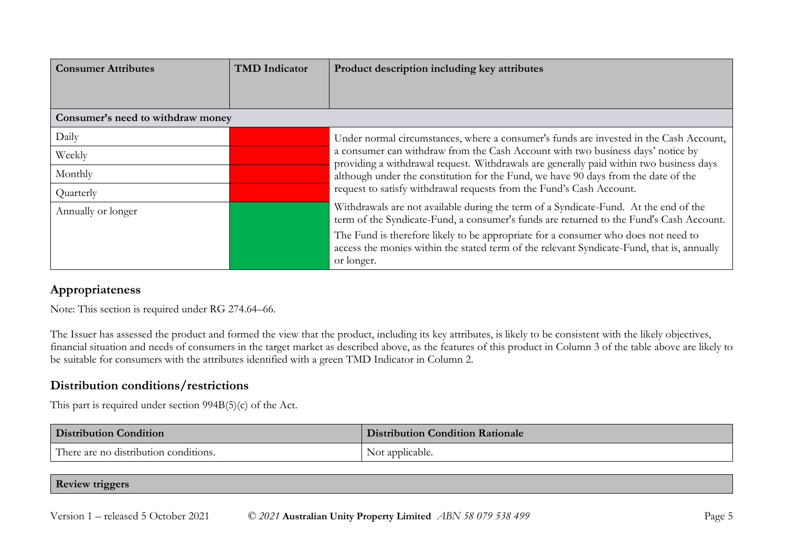| <b>Consumer Attributes</b>        | <b>TMD</b> Indicator | Product description including key attributes                                                                                                                                                   |
|-----------------------------------|----------------------|------------------------------------------------------------------------------------------------------------------------------------------------------------------------------------------------|
|                                   |                      |                                                                                                                                                                                                |
| Consumer's need to withdraw money |                      |                                                                                                                                                                                                |
| Daily                             |                      | Under normal circumstances, where a consumer's funds are invested in the Cash Account,                                                                                                         |
| Weekly                            |                      | a consumer can withdraw from the Cash Account with two business days' notice by<br>providing a withdrawal request. Withdrawals are generally paid within two business days                     |
| Monthly                           |                      | although under the constitution for the Fund, we have 90 days from the date of the                                                                                                             |
| Quarterly                         |                      | request to satisfy withdrawal requests from the Fund's Cash Account.                                                                                                                           |
| Annually or longer                |                      | Withdrawals are not available during the term of a Syndicate-Fund. At the end of the<br>term of the Syndicate-Fund, a consumer's funds are returned to the Fund's Cash Account.                |
|                                   |                      | The Fund is therefore likely to be appropriate for a consumer who does not need to<br>access the monies within the stated term of the relevant Syndicate-Fund, that is, annually<br>or longer. |

### **Appropriateness**

Note: This section is required under RG 274.64–66.

The Issuer has assessed the product and formed the view that the product, including its key attributes, is likely to be consistent with the likely objectives, financial situation and needs of consumers in the target market as described above, as the features of this product in Column 3 of the table above are likely to be suitable for consumers with the attributes identified with a green TMD Indicator in Column 2.

#### **Distribution conditions/restrictions**

This part is required under section 994B(5)(c) of the Act.

| <b>Distribution Condition</b>         | <b>Distribution Condition Rationale</b> |
|---------------------------------------|-----------------------------------------|
| There are no distribution conditions. | Not applicable.                         |

#### **Review triggers**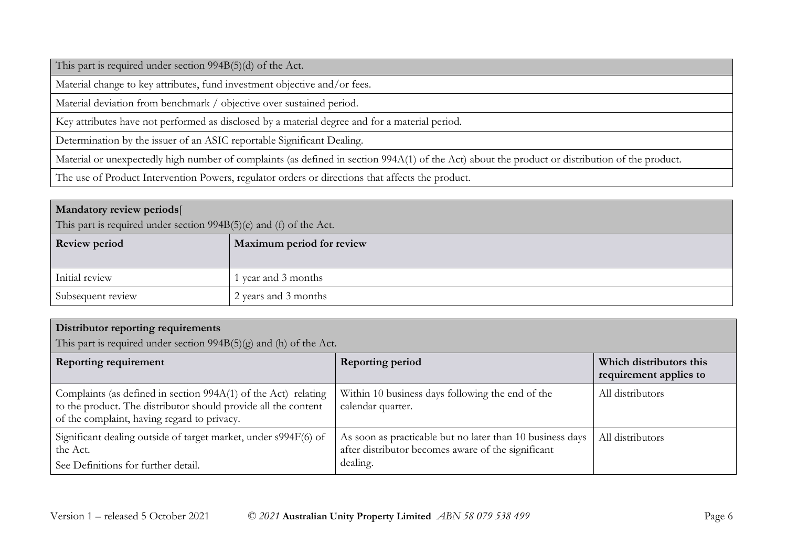This part is required under section 994B(5)(d) of the Act.

Material change to key attributes, fund investment objective and/or fees.

Material deviation from benchmark / objective over sustained period.

Key attributes have not performed as disclosed by a material degree and for a material period.

Determination by the issuer of an ASIC reportable Significant Dealing.

Material or unexpectedly high number of complaints (as defined in section 994A(1) of the Act) about the product or distribution of the product.

The use of Product Intervention Powers, regulator orders or directions that affects the product.

#### **Mandatory review periods**[

This part is required under section 994B(5)(e) and (f) of the Act.

| <b>Review period</b> | Maximum period for review |
|----------------------|---------------------------|
| Initial review       | 1 year and 3 months       |
| Subsequent review    | 2 years and 3 months      |

| <b>Distributor reporting requirements</b> |  |
|-------------------------------------------|--|

This part is required under section 994B(5)(g) and (h) of the Act.

| <b>Reporting requirement</b>                                                                                                                                                      | Reporting period                                                                                                            | Which distributors this<br>requirement applies to |
|-----------------------------------------------------------------------------------------------------------------------------------------------------------------------------------|-----------------------------------------------------------------------------------------------------------------------------|---------------------------------------------------|
| Complaints (as defined in section $994A(1)$ of the Act) relating<br>to the product. The distributor should provide all the content<br>of the complaint, having regard to privacy. | Within 10 business days following the end of the<br>calendar quarter.                                                       | All distributors                                  |
| Significant dealing outside of target market, under s994F(6) of<br>the Act.<br>See Definitions for further detail.                                                                | As soon as practicable but no later than 10 business days<br>after distributor becomes aware of the significant<br>dealing. | All distributors                                  |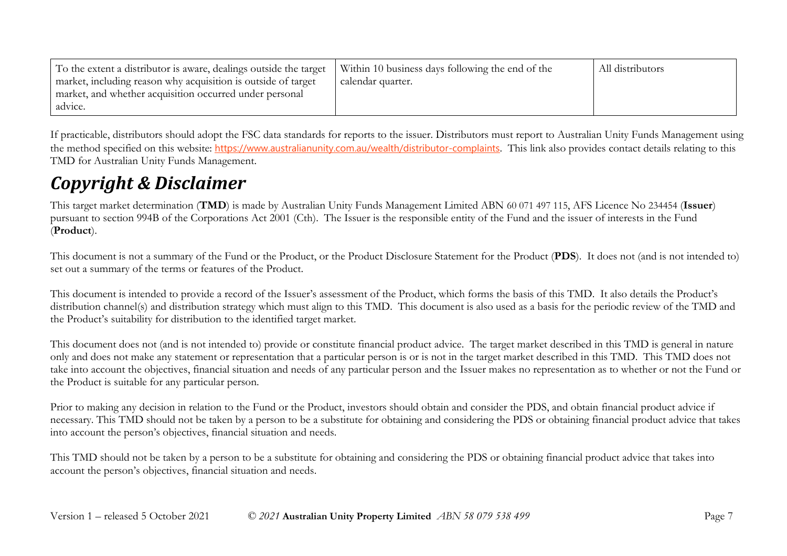| To the extent a distributor is aware, dealings outside the target | Within 10 business days following the end of the | All distributors |
|-------------------------------------------------------------------|--------------------------------------------------|------------------|
| market, including reason why acquisition is outside of target     | calendar quarter.                                |                  |
| market, and whether acquisition occurred under personal           |                                                  |                  |
| advice.                                                           |                                                  |                  |

If practicable, distributors should adopt the FSC data standards for reports to the issuer. Distributors must report to Australian Unity Funds Management using the method specified on this website: <https://www.australianunity.com.au/wealth/distributor-complaints>. This link also provides contact details relating to this TMD for Australian Unity Funds Management.

## *Copyright & Disclaimer*

This target market determination (**TMD**) is made by Australian Unity Funds Management Limited ABN 60 071 497 115, AFS Licence No 234454 (**Issuer**) pursuant to section 994B of the Corporations Act 2001 (Cth). The Issuer is the responsible entity of the Fund and the issuer of interests in the Fund (**Product**).

This document is not a summary of the Fund or the Product, or the Product Disclosure Statement for the Product (**PDS**). It does not (and is not intended to) set out a summary of the terms or features of the Product.

This document is intended to provide a record of the Issuer's assessment of the Product, which forms the basis of this TMD. It also details the Product's distribution channel(s) and distribution strategy which must align to this TMD. This document is also used as a basis for the periodic review of the TMD and the Product's suitability for distribution to the identified target market.

This document does not (and is not intended to) provide or constitute financial product advice. The target market described in this TMD is general in nature only and does not make any statement or representation that a particular person is or is not in the target market described in this TMD. This TMD does not take into account the objectives, financial situation and needs of any particular person and the Issuer makes no representation as to whether or not the Fund or the Product is suitable for any particular person.

Prior to making any decision in relation to the Fund or the Product, investors should obtain and consider the PDS, and obtain financial product advice if necessary. This TMD should not be taken by a person to be a substitute for obtaining and considering the PDS or obtaining financial product advice that takes into account the person's objectives, financial situation and needs.

This TMD should not be taken by a person to be a substitute for obtaining and considering the PDS or obtaining financial product advice that takes into account the person's objectives, financial situation and needs.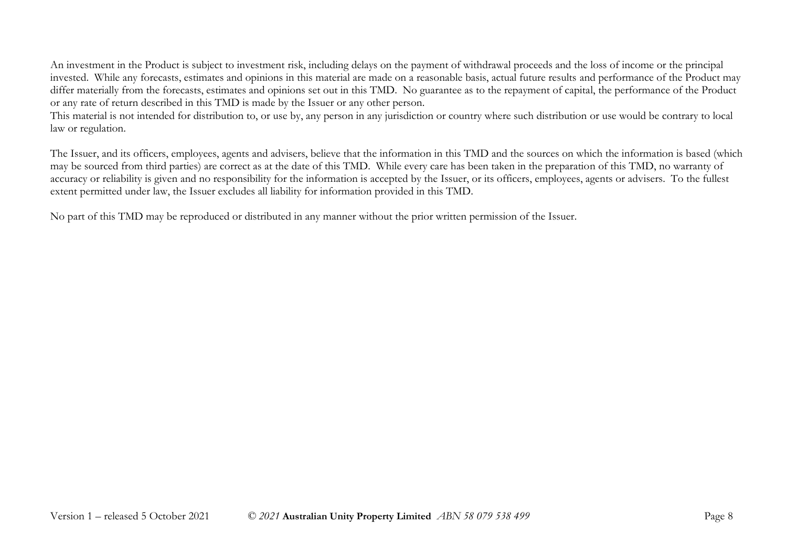An investment in the Product is subject to investment risk, including delays on the payment of withdrawal proceeds and the loss of income or the principal invested. While any forecasts, estimates and opinions in this material are made on a reasonable basis, actual future results and performance of the Product may differ materially from the forecasts, estimates and opinions set out in this TMD. No guarantee as to the repayment of capital, the performance of the Product or any rate of return described in this TMD is made by the Issuer or any other person.

This material is not intended for distribution to, or use by, any person in any jurisdiction or country where such distribution or use would be contrary to local law or regulation.

The Issuer, and its officers, employees, agents and advisers, believe that the information in this TMD and the sources on which the information is based (which may be sourced from third parties) are correct as at the date of this TMD. While every care has been taken in the preparation of this TMD, no warranty of accuracy or reliability is given and no responsibility for the information is accepted by the Issuer, or its officers, employees, agents or advisers. To the fullest extent permitted under law, the Issuer excludes all liability for information provided in this TMD.

No part of this TMD may be reproduced or distributed in any manner without the prior written permission of the Issuer.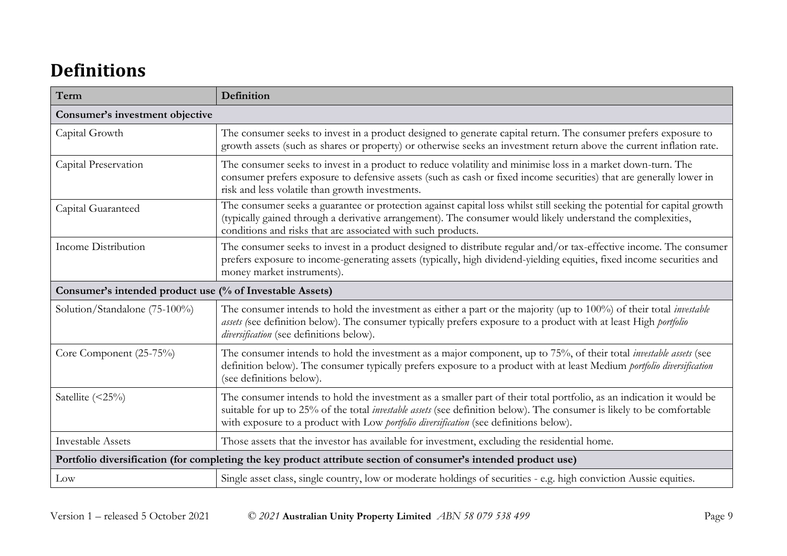# **Definitions**

| Term                                                                                                            | Definition                                                                                                                                                                                                                                                                                                                                      |  |
|-----------------------------------------------------------------------------------------------------------------|-------------------------------------------------------------------------------------------------------------------------------------------------------------------------------------------------------------------------------------------------------------------------------------------------------------------------------------------------|--|
| Consumer's investment objective                                                                                 |                                                                                                                                                                                                                                                                                                                                                 |  |
| Capital Growth                                                                                                  | The consumer seeks to invest in a product designed to generate capital return. The consumer prefers exposure to<br>growth assets (such as shares or property) or otherwise seeks an investment return above the current inflation rate.                                                                                                         |  |
| Capital Preservation                                                                                            | The consumer seeks to invest in a product to reduce volatility and minimise loss in a market down-turn. The<br>consumer prefers exposure to defensive assets (such as cash or fixed income securities) that are generally lower in<br>risk and less volatile than growth investments.                                                           |  |
| Capital Guaranteed                                                                                              | The consumer seeks a guarantee or protection against capital loss whilst still seeking the potential for capital growth<br>(typically gained through a derivative arrangement). The consumer would likely understand the complexities,<br>conditions and risks that are associated with such products.                                          |  |
| Income Distribution                                                                                             | The consumer seeks to invest in a product designed to distribute regular and/or tax-effective income. The consumer<br>prefers exposure to income-generating assets (typically, high dividend-yielding equities, fixed income securities and<br>money market instruments).                                                                       |  |
| Consumer's intended product use (% of Investable Assets)                                                        |                                                                                                                                                                                                                                                                                                                                                 |  |
| Solution/Standalone (75-100%)                                                                                   | The consumer intends to hold the investment as either a part or the majority (up to 100%) of their total <i>investable</i><br>assets (see definition below). The consumer typically prefers exposure to a product with at least High <i>portfolio</i><br>diversification (see definitions below).                                               |  |
| Core Component (25-75%)                                                                                         | The consumer intends to hold the investment as a major component, up to 75%, of their total <i>investable assets</i> (see<br>definition below). The consumer typically prefers exposure to a product with at least Medium portfolio diversification<br>(see definitions below).                                                                 |  |
| Satellite (<25%)                                                                                                | The consumer intends to hold the investment as a smaller part of their total portfolio, as an indication it would be<br>suitable for up to 25% of the total <i>investable assets</i> (see definition below). The consumer is likely to be comfortable<br>with exposure to a product with Low portfolio diversification (see definitions below). |  |
| <b>Investable Assets</b>                                                                                        | Those assets that the investor has available for investment, excluding the residential home.                                                                                                                                                                                                                                                    |  |
| Portfolio diversification (for completing the key product attribute section of consumer's intended product use) |                                                                                                                                                                                                                                                                                                                                                 |  |
| Low                                                                                                             | Single asset class, single country, low or moderate holdings of securities - e.g. high conviction Aussie equities.                                                                                                                                                                                                                              |  |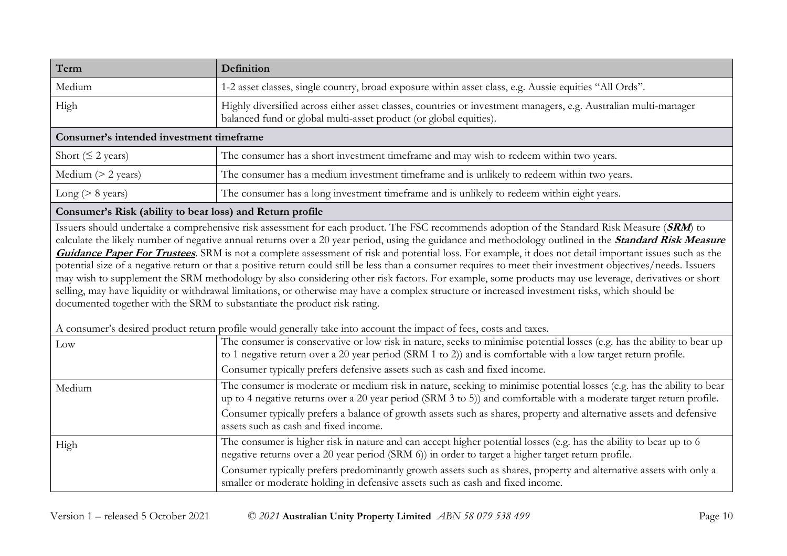| Term                                                      | Definition                                                                                                                                                                                                                                                                                                                                                                                                                                                                                                                                                                                                                                                                                                                                                                                                                                                                                                                                                                                             |
|-----------------------------------------------------------|--------------------------------------------------------------------------------------------------------------------------------------------------------------------------------------------------------------------------------------------------------------------------------------------------------------------------------------------------------------------------------------------------------------------------------------------------------------------------------------------------------------------------------------------------------------------------------------------------------------------------------------------------------------------------------------------------------------------------------------------------------------------------------------------------------------------------------------------------------------------------------------------------------------------------------------------------------------------------------------------------------|
| Medium                                                    | 1-2 asset classes, single country, broad exposure within asset class, e.g. Aussie equities "All Ords".                                                                                                                                                                                                                                                                                                                                                                                                                                                                                                                                                                                                                                                                                                                                                                                                                                                                                                 |
| High                                                      | Highly diversified across either asset classes, countries or investment managers, e.g. Australian multi-manager<br>balanced fund or global multi-asset product (or global equities).                                                                                                                                                                                                                                                                                                                                                                                                                                                                                                                                                                                                                                                                                                                                                                                                                   |
| Consumer's intended investment timeframe                  |                                                                                                                                                                                                                                                                                                                                                                                                                                                                                                                                                                                                                                                                                                                                                                                                                                                                                                                                                                                                        |
| Short ( $\leq$ 2 years)                                   | The consumer has a short investment timeframe and may wish to redeem within two years.                                                                                                                                                                                                                                                                                                                                                                                                                                                                                                                                                                                                                                                                                                                                                                                                                                                                                                                 |
| Medium $(> 2$ years)                                      | The consumer has a medium investment timeframe and is unlikely to redeem within two years.                                                                                                                                                                                                                                                                                                                                                                                                                                                                                                                                                                                                                                                                                                                                                                                                                                                                                                             |
| Long ( $> 8$ years)                                       | The consumer has a long investment timeframe and is unlikely to redeem within eight years.                                                                                                                                                                                                                                                                                                                                                                                                                                                                                                                                                                                                                                                                                                                                                                                                                                                                                                             |
| Consumer's Risk (ability to bear loss) and Return profile |                                                                                                                                                                                                                                                                                                                                                                                                                                                                                                                                                                                                                                                                                                                                                                                                                                                                                                                                                                                                        |
|                                                           | calculate the likely number of negative annual returns over a 20 year period, using the guidance and methodology outlined in the <b>Standard Risk Measure</b><br>Guidance Paper For Trustees. SRM is not a complete assessment of risk and potential loss. For example, it does not detail important issues such as the<br>potential size of a negative return or that a positive return could still be less than a consumer requires to meet their investment objectives/needs. Issuers<br>may wish to supplement the SRM methodology by also considering other risk factors. For example, some products may use leverage, derivatives or short<br>selling, may have liquidity or withdrawal limitations, or otherwise may have a complex structure or increased investment risks, which should be<br>documented together with the SRM to substantiate the product risk rating.<br>A consumer's desired product return profile would generally take into account the impact of fees, costs and taxes. |
| Low                                                       | The consumer is conservative or low risk in nature, seeks to minimise potential losses (e.g. has the ability to bear up<br>to 1 negative return over a 20 year period (SRM 1 to 2)) and is comfortable with a low target return profile.<br>Consumer typically prefers defensive assets such as cash and fixed income.                                                                                                                                                                                                                                                                                                                                                                                                                                                                                                                                                                                                                                                                                 |
| Medium                                                    | The consumer is moderate or medium risk in nature, seeking to minimise potential losses (e.g. has the ability to bear<br>up to 4 negative returns over a 20 year period (SRM 3 to 5)) and comfortable with a moderate target return profile.<br>Consumer typically prefers a balance of growth assets such as shares, property and alternative assets and defensive<br>assets such as cash and fixed income.                                                                                                                                                                                                                                                                                                                                                                                                                                                                                                                                                                                           |
| High                                                      | The consumer is higher risk in nature and can accept higher potential losses (e.g. has the ability to bear up to 6<br>negative returns over a 20 year period (SRM 6)) in order to target a higher target return profile.<br>Consumer typically prefers predominantly growth assets such as shares, property and alternative assets with only a                                                                                                                                                                                                                                                                                                                                                                                                                                                                                                                                                                                                                                                         |

smaller or moderate holding in defensive assets such as cash and fixed income.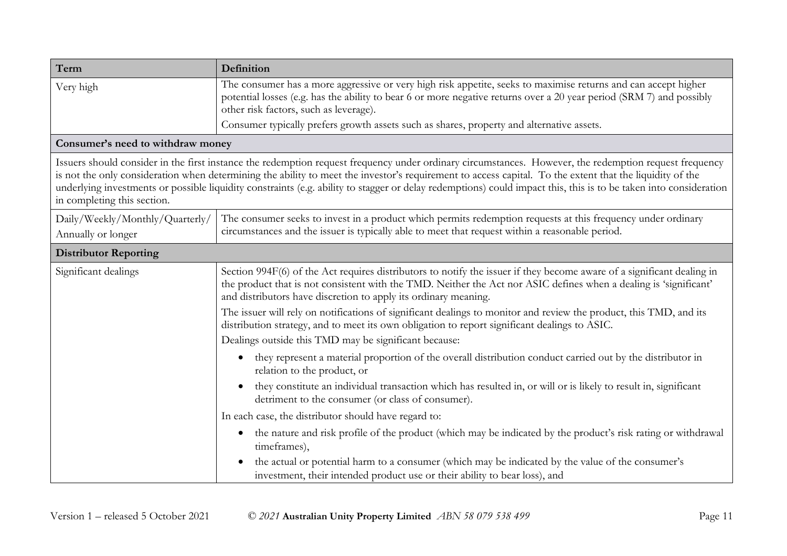| Term                                                                                                                                                                                                                                                                                                                                                                                                                                                                                                                   | Definition                                                                                                                                                                                                                                                                                                     |  |
|------------------------------------------------------------------------------------------------------------------------------------------------------------------------------------------------------------------------------------------------------------------------------------------------------------------------------------------------------------------------------------------------------------------------------------------------------------------------------------------------------------------------|----------------------------------------------------------------------------------------------------------------------------------------------------------------------------------------------------------------------------------------------------------------------------------------------------------------|--|
| Very high                                                                                                                                                                                                                                                                                                                                                                                                                                                                                                              | The consumer has a more aggressive or very high risk appetite, seeks to maximise returns and can accept higher<br>potential losses (e.g. has the ability to bear 6 or more negative returns over a 20 year period (SRM 7) and possibly<br>other risk factors, such as leverage).                               |  |
|                                                                                                                                                                                                                                                                                                                                                                                                                                                                                                                        | Consumer typically prefers growth assets such as shares, property and alternative assets.                                                                                                                                                                                                                      |  |
| Consumer's need to withdraw money                                                                                                                                                                                                                                                                                                                                                                                                                                                                                      |                                                                                                                                                                                                                                                                                                                |  |
| Issuers should consider in the first instance the redemption request frequency under ordinary circumstances. However, the redemption request frequency<br>is not the only consideration when determining the ability to meet the investor's requirement to access capital. To the extent that the liquidity of the<br>underlying investments or possible liquidity constraints (e.g. ability to stagger or delay redemptions) could impact this, this is to be taken into consideration<br>in completing this section. |                                                                                                                                                                                                                                                                                                                |  |
| Daily/Weekly/Monthly/Quarterly/<br>Annually or longer                                                                                                                                                                                                                                                                                                                                                                                                                                                                  | The consumer seeks to invest in a product which permits redemption requests at this frequency under ordinary<br>circumstances and the issuer is typically able to meet that request within a reasonable period.                                                                                                |  |
| <b>Distributor Reporting</b>                                                                                                                                                                                                                                                                                                                                                                                                                                                                                           |                                                                                                                                                                                                                                                                                                                |  |
| Significant dealings                                                                                                                                                                                                                                                                                                                                                                                                                                                                                                   | Section 994F(6) of the Act requires distributors to notify the issuer if they become aware of a significant dealing in<br>the product that is not consistent with the TMD. Neither the Act nor ASIC defines when a dealing is 'significant'<br>and distributors have discretion to apply its ordinary meaning. |  |
|                                                                                                                                                                                                                                                                                                                                                                                                                                                                                                                        | The issuer will rely on notifications of significant dealings to monitor and review the product, this TMD, and its<br>distribution strategy, and to meet its own obligation to report significant dealings to ASIC.                                                                                            |  |
|                                                                                                                                                                                                                                                                                                                                                                                                                                                                                                                        | Dealings outside this TMD may be significant because:                                                                                                                                                                                                                                                          |  |
|                                                                                                                                                                                                                                                                                                                                                                                                                                                                                                                        | they represent a material proportion of the overall distribution conduct carried out by the distributor in<br>$\bullet$<br>relation to the product, or                                                                                                                                                         |  |
|                                                                                                                                                                                                                                                                                                                                                                                                                                                                                                                        | they constitute an individual transaction which has resulted in, or will or is likely to result in, significant<br>detriment to the consumer (or class of consumer).                                                                                                                                           |  |
|                                                                                                                                                                                                                                                                                                                                                                                                                                                                                                                        | In each case, the distributor should have regard to:                                                                                                                                                                                                                                                           |  |
|                                                                                                                                                                                                                                                                                                                                                                                                                                                                                                                        | the nature and risk profile of the product (which may be indicated by the product's risk rating or withdrawal<br>$\bullet$<br>timeframes),                                                                                                                                                                     |  |
|                                                                                                                                                                                                                                                                                                                                                                                                                                                                                                                        | the actual or potential harm to a consumer (which may be indicated by the value of the consumer's<br>investment, their intended product use or their ability to bear loss), and                                                                                                                                |  |